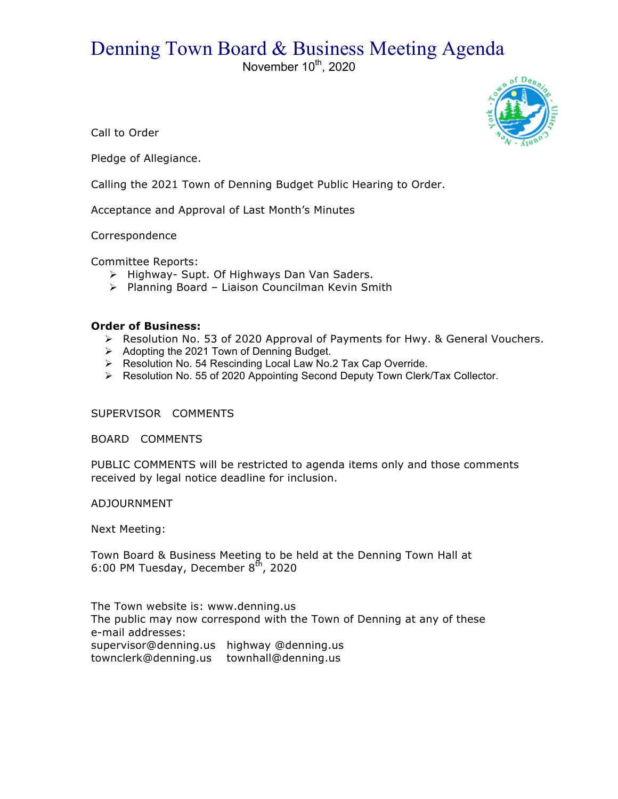## Denning Town Board & Business Meeting Agenda

November 10<sup>th</sup>, 2020



Call to Order

Pledge of Allegiance.

Calling the 2021 Town of Denning Budget Public Hearing to Order.

Acceptance and Approval of Last Month's Minutes

Correspondence

Committee Reports:

- > Highway- Supt. Of Highways Dan Van Saders.
- > Planning Board Liaison Councilman Kevin Smith

## **Order of Business:**

- $\triangleright$  Resolution No. 53 of 2020 Approval of Payments for Hwy. & General Vouchers.
- $\triangleright$  Adopting the 2021 Town of Denning Budget.
- > Resolution No. 54 Rescinding Local Law No.2 Tax Cap Override.
- $\triangleright$  Resolution No. 55 of 2020 Appointing Second Deputy Town Clerk/Tax Collector.

SUPERVISOR COMMENTS

BOARD COMMENTS

PUBLIC COMMENTS will be restricted to agenda items only and those comments received by legal notice deadline for inclusion.

ADJOURNMENT

Next Meeting:

Town Board & Business Meeting to be held at the Denning Town Hall at 6:00 PM Tuesday, December  $8<sup>th</sup>$ , 2020

The Town website is: www.denning.us The public may now correspond with the Town of Denning at any of these e-mail addresses: supervisor@denning.us highway @denning.us

townclerk@denning.us townhall@denning.us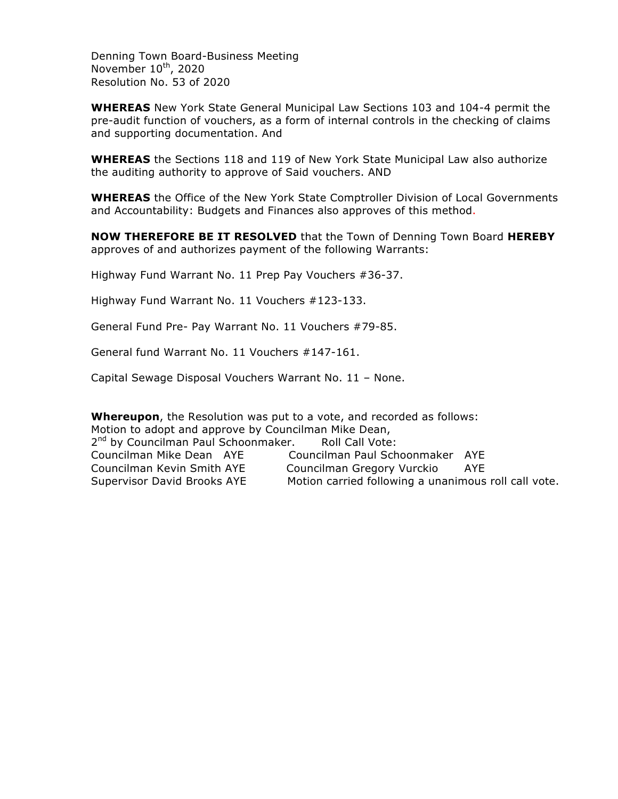Denning Town Board-Business Meeting November  $10^{th}$ , 2020 Resolution No. 53 of 2020

**WHEREAS** New York State General Municipal Law Sections 103 and 104-4 permit the pre-audit function of vouchers, as a form of internal controls in the checking of claims and supporting documentation. And

**WHEREAS** the Sections 118 and 119 of New York State Municipal Law also authorize the auditing authority to approve of Said vouchers. AND

**WHEREAS** the Office of the New York State Comptroller Division of Local Governments and Accountability: Budgets and Finances also approves of this method.

**NOW THEREFORE BE IT RESOLVED** that the Town of Denning Town Board **HEREBY** approves of and authorizes payment of the following Warrants:

Highway Fund Warrant No. 11 Prep Pay Vouchers #36-37.

Highway Fund Warrant No. 11 Vouchers #123-133.

General Fund Pre- Pay Warrant No. 11 Vouchers #79-85.

General fund Warrant No. 11 Vouchers #147-161.

Capital Sewage Disposal Vouchers Warrant No. 11 – None.

**Whereupon**, the Resolution was put to a vote, and recorded as follows: Motion to adopt and approve by Councilman Mike Dean, 2<sup>nd</sup> by Councilman Paul Schoonmaker. Roll Call Vote: Councilman Mike Dean AYE Councilman Paul Schoonmaker AYE Councilman Kevin Smith AYE Councilman Gregory Vurckio AYE Supervisor David Brooks AYE Motion carried following a unanimous roll call vote.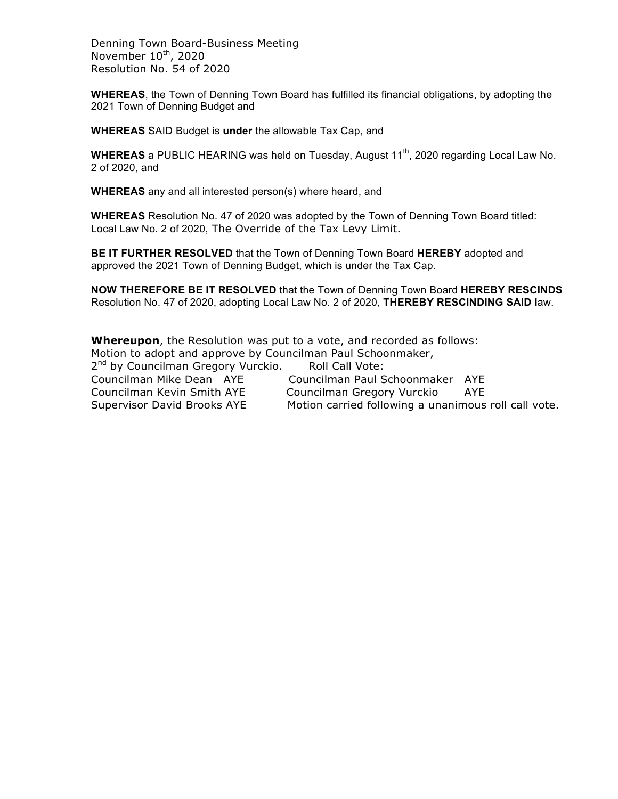Denning Town Board-Business Meeting November  $10^{th}$ , 2020 Resolution No. 54 of 2020

**WHEREAS**, the Town of Denning Town Board has fulfilled its financial obligations, by adopting the 2021 Town of Denning Budget and

**WHEREAS** SAID Budget is **under** the allowable Tax Cap, and

**WHEREAS** a PUBLIC HEARING was held on Tuesday, August 11<sup>th</sup>, 2020 regarding Local Law No. 2 of 2020, and

**WHEREAS** any and all interested person(s) where heard, and

**WHEREAS** Resolution No. 47 of 2020 was adopted by the Town of Denning Town Board titled: Local Law No. 2 of 2020, The Override of the Tax Levy Limit.

**BE IT FURTHER RESOLVED** that the Town of Denning Town Board **HEREBY** adopted and approved the 2021 Town of Denning Budget, which is under the Tax Cap.

**NOW THEREFORE BE IT RESOLVED** that the Town of Denning Town Board **HEREBY RESCINDS** Resolution No. 47 of 2020, adopting Local Law No. 2 of 2020, **THEREBY RESCINDING SAID l**aw.

**Whereupon**, the Resolution was put to a vote, and recorded as follows: Motion to adopt and approve by Councilman Paul Schoonmaker, 2<sup>nd</sup> by Councilman Gregory Vurckio. Roll Call Vote: Councilman Mike Dean AYE Councilman Paul Schoonmaker AYE Councilman Kevin Smith AYE Councilman Gregory Vurckio AYE Supervisor David Brooks AYE Motion carried following a unanimous roll call vote.